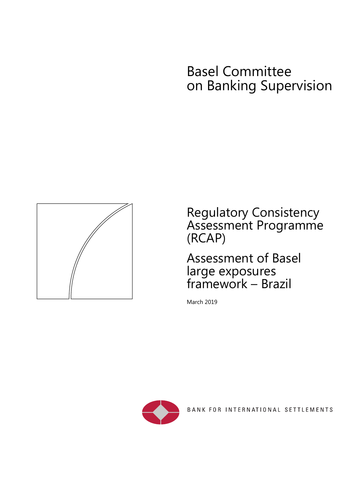# Basel Committee on Banking Supervision



Regulatory Consistency Assessment Programme (RCAP)

Assessment of Basel large exposures framework – Brazil

March 2019



BANK FOR INTERNATIONAL SETTLEMENTS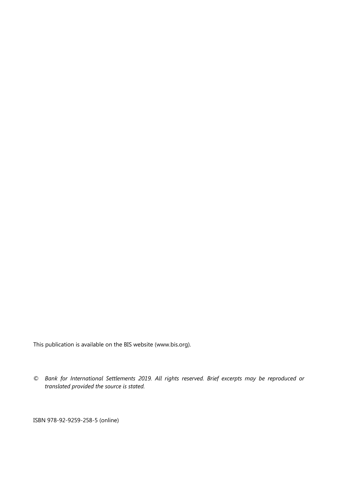This publication is available on the BIS website (www.bis.org).

*© Bank for International Settlements 2019. All rights reserved. Brief excerpts may be reproduced or translated provided the source is stated.* 

ISBN 978-92-9259-258-5 (online)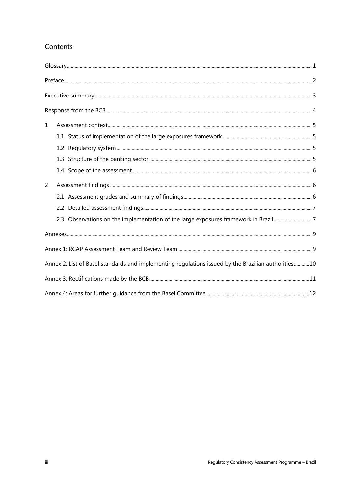### Contents

| 1              |                                                                                                     |  |
|----------------|-----------------------------------------------------------------------------------------------------|--|
|                |                                                                                                     |  |
|                |                                                                                                     |  |
|                |                                                                                                     |  |
|                |                                                                                                     |  |
| $\overline{2}$ |                                                                                                     |  |
|                |                                                                                                     |  |
|                |                                                                                                     |  |
|                | 2.3 Observations on the implementation of the large exposures framework in Brazil7                  |  |
|                |                                                                                                     |  |
|                |                                                                                                     |  |
|                | Annex 2: List of Basel standards and implementing regulations issued by the Brazilian authorities10 |  |
|                |                                                                                                     |  |
|                |                                                                                                     |  |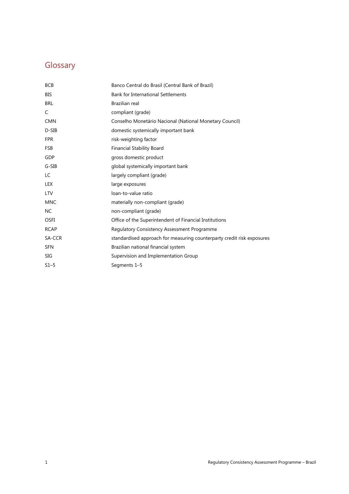# Glossary

| <b>BCB</b>  | Banco Central do Brasil (Central Bank of Brazil)                       |
|-------------|------------------------------------------------------------------------|
| BIS         | <b>Bank for International Settlements</b>                              |
| <b>BRL</b>  | Brazilian real                                                         |
| C           | compliant (grade)                                                      |
| <b>CMN</b>  | Conselho Monetário Nacional (National Monetary Council)                |
| $D-SIB$     | domestic systemically important bank                                   |
| <b>FPR</b>  | risk-weighting factor                                                  |
| <b>FSB</b>  | <b>Financial Stability Board</b>                                       |
| GDP         | gross domestic product                                                 |
| $G-SIB$     | global systemically important bank                                     |
| LC          | largely compliant (grade)                                              |
| <b>LEX</b>  | large exposures                                                        |
| <b>LTV</b>  | loan-to-value ratio                                                    |
| <b>MNC</b>  | materially non-compliant (grade)                                       |
| <b>NC</b>   | non-compliant (grade)                                                  |
| <b>OSFI</b> | Office of the Superintendent of Financial Institutions                 |
| <b>RCAP</b> | <b>Regulatory Consistency Assessment Programme</b>                     |
| SA-CCR      | standardised approach for measuring counterparty credit risk exposures |
| <b>SFN</b>  | Brazilian national financial system                                    |
| SIG         | Supervision and Implementation Group                                   |
| $S1-5$      | Segments 1-5                                                           |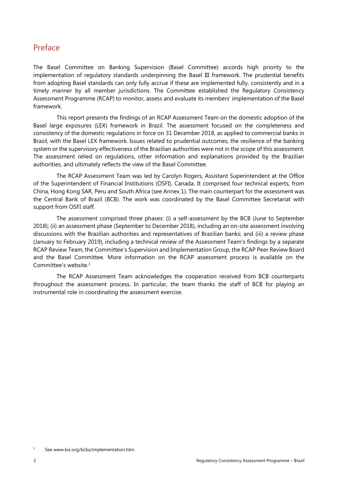# Preface

The Basel Committee on Banking Supervision (Basel Committee) accords high priority to the implementation of regulatory standards underpinning the Basel III framework. The prudential benefits from adopting Basel standards can only fully accrue if these are implemented fully, consistently and in a timely manner by all member jurisdictions. The Committee established the Regulatory Consistency Assessment Programme (RCAP) to monitor, assess and evaluate its members' implementation of the Basel framework.

This report presents the findings of an RCAP Assessment Team on the domestic adoption of the Basel large exposures (LEX) framework in Brazil. The assessment focused on the completeness and consistency of the domestic regulations in force on 31 December 2018, as applied to commercial banks in Brazil, with the Basel LEX framework. Issues related to prudential outcomes, the resilience of the banking system or the supervisory effectiveness of the Brazilian authorities were not in the scope of this assessment. The assessment relied on regulations, other information and explanations provided by the Brazilian authorities, and ultimately reflects the view of the Basel Committee.

The RCAP Assessment Team was led by Carolyn Rogers, Assistant Superintendent at the Office of the Superintendent of Financial Institutions (OSFI), Canada. It comprised four technical experts, from China, Hong Kong SAR, Peru and South Africa (see Annex 1). The main counterpart for the assessment was the Central Bank of Brazil (BCB). The work was coordinated by the Basel Committee Secretariat with support from OSFI staff.

The assessment comprised three phases: (i) a self-assessment by the BCB (June to September 2018); (ii) an assessment phase (September to December 2018), including an on-site assessment involving discussions with the Brazilian authorities and representatives of Brazilian banks; and (iii) a review phase (January to February 2019), including a technical review of the Assessment Team's findings by a separate RCAP Review Team, the Committee's Supervision and Implementation Group, the RCAP Peer Review Board and the Basel Committee. More information on the RCAP assessment process is available on the Committee's website.1

The RCAP Assessment Team acknowledges the cooperation received from BCB counterparts throughout the assessment process. In particular, the team thanks the staff of BCB for playing an instrumental role in coordinating the assessment exercise.

<sup>1</sup> See www.bis.org/bcbs/implementation.htm.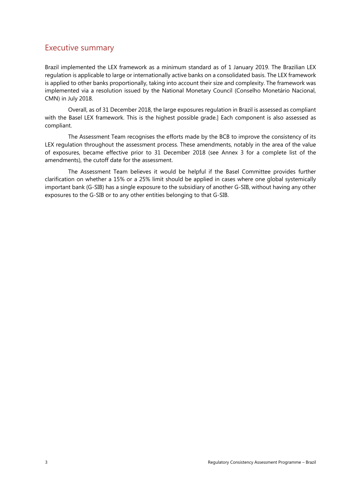### Executive summary

Brazil implemented the LEX framework as a minimum standard as of 1 January 2019. The Brazilian LEX regulation is applicable to large or internationally active banks on a consolidated basis. The LEX framework is applied to other banks proportionally, taking into account their size and complexity. The framework was implemented via a resolution issued by the National Monetary Council (Conselho Monetário Nacional, CMN) in July 2018.

Overall, as of 31 December 2018, the large exposures regulation in Brazil is assessed as compliant with the Basel LEX framework. This is the highest possible grade.] Each component is also assessed as compliant.

The Assessment Team recognises the efforts made by the BCB to improve the consistency of its LEX regulation throughout the assessment process. These amendments, notably in the area of the value of exposures, became effective prior to 31 December 2018 (see Annex 3 for a complete list of the amendments), the cutoff date for the assessment.

The Assessment Team believes it would be helpful if the Basel Committee provides further clarification on whether a 15% or a 25% limit should be applied in cases where one global systemically important bank (G-SIB) has a single exposure to the subsidiary of another G-SIB, without having any other exposures to the G-SIB or to any other entities belonging to that G-SIB.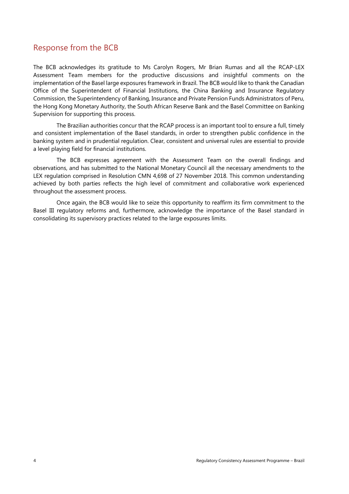## Response from the BCB

The BCB acknowledges its gratitude to Ms Carolyn Rogers, Mr Brian Rumas and all the RCAP-LEX Assessment Team members for the productive discussions and insightful comments on the implementation of the Basel large exposures framework in Brazil. The BCB would like to thank the Canadian Office of the Superintendent of Financial Institutions, the China Banking and Insurance Regulatory Commission, the Superintendency of Banking, Insurance and Private Pension Funds Administrators of Peru, the Hong Kong Monetary Authority, the South African Reserve Bank and the Basel Committee on Banking Supervision for supporting this process.

The Brazilian authorities concur that the RCAP process is an important tool to ensure a full, timely and consistent implementation of the Basel standards, in order to strengthen public confidence in the banking system and in prudential regulation. Clear, consistent and universal rules are essential to provide a level playing field for financial institutions.

The BCB expresses agreement with the Assessment Team on the overall findings and observations, and has submitted to the National Monetary Council all the necessary amendments to the LEX regulation comprised in Resolution CMN 4,698 of 27 November 2018. This common understanding achieved by both parties reflects the high level of commitment and collaborative work experienced throughout the assessment process.

Once again, the BCB would like to seize this opportunity to reaffirm its firm commitment to the Basel III regulatory reforms and, furthermore, acknowledge the importance of the Basel standard in consolidating its supervisory practices related to the large exposures limits.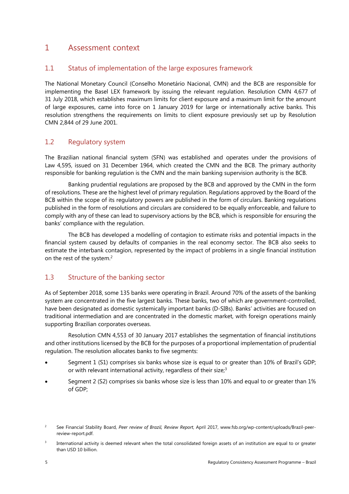## 1 Assessment context

#### 1.1 Status of implementation of the large exposures framework

The National Monetary Council (Conselho Monetário Nacional, CMN) and the BCB are responsible for implementing the Basel LEX framework by issuing the relevant regulation. Resolution CMN 4,677 of 31 July 2018, which establishes maximum limits for client exposure and a maximum limit for the amount of large exposures, came into force on 1 January 2019 for large or internationally active banks. This resolution strengthens the requirements on limits to client exposure previously set up by Resolution CMN 2,844 of 29 June 2001.

#### 1.2 Regulatory system

The Brazilian national financial system (SFN) was established and operates under the provisions of Law 4,595, issued on 31 December 1964, which created the CMN and the BCB. The primary authority responsible for banking regulation is the CMN and the main banking supervision authority is the BCB.

Banking prudential regulations are proposed by the BCB and approved by the CMN in the form of resolutions. These are the highest level of primary regulation. Regulations approved by the Board of the BCB within the scope of its regulatory powers are published in the form of circulars. Banking regulations published in the form of resolutions and circulars are considered to be equally enforceable, and failure to comply with any of these can lead to supervisory actions by the BCB, which is responsible for ensuring the banks' compliance with the regulation.

The BCB has developed a modelling of contagion to estimate risks and potential impacts in the financial system caused by defaults of companies in the real economy sector. The BCB also seeks to estimate the interbank contagion, represented by the impact of problems in a single financial institution on the rest of the system.2

### 1.3 Structure of the banking sector

As of September 2018, some 135 banks were operating in Brazil. Around 70% of the assets of the banking system are concentrated in the five largest banks. These banks, two of which are government-controlled, have been designated as domestic systemically important banks (D-SIBs). Banks' activities are focused on traditional intermediation and are concentrated in the domestic market, with foreign operations mainly supporting Brazilian corporates overseas.

Resolution CMN 4,553 of 30 January 2017 establishes the segmentation of financial institutions and other institutions licensed by the BCB for the purposes of a proportional implementation of prudential regulation. The resolution allocates banks to five segments:

- Segment 1 (S1) comprises six banks whose size is equal to or greater than 10% of Brazil's GDP; or with relevant international activity, regardless of their size;<sup>3</sup>
- Segment 2 (S2) comprises six banks whose size is less than 10% and equal to or greater than 1% of GDP;

 $\overline{2}$  See Financial Stability Board, *Peer review of Brazil, Review Report*, April 2017, www.fsb.org/wp-content/uploads/Brazil-peerreview-report.pdf.

<sup>3</sup> International activity is deemed relevant when the total consolidated foreign assets of an institution are equal to or greater than USD 10 billion.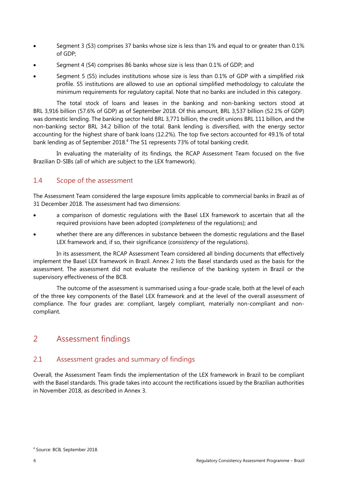- Segment 3 (S3) comprises 37 banks whose size is less than 1% and equal to or greater than 0.1% of GDP;
- Segment 4 (S4) comprises 86 banks whose size is less than 0.1% of GDP; and
- Segment 5 (S5) includes institutions whose size is less than 0.1% of GDP with a simplified risk profile. S5 institutions are allowed to use an optional simplified methodology to calculate the minimum requirements for regulatory capital. Note that no banks are included in this category.

The total stock of loans and leases in the banking and non-banking sectors stood at BRL 3,916 billion (57.6% of GDP) as of September 2018. Of this amount, BRL 3,537 billion (52.1% of GDP) was domestic lending. The banking sector held BRL 3,771 billion, the credit unions BRL 111 billion, and the non-banking sector BRL 34.2 billion of the total. Bank lending is diversified, with the energy sector accounting for the highest share of bank loans (12.2%). The top five sectors accounted for 49.1% of total bank lending as of September 2018.<sup>4</sup> The S1 represents 73% of total banking credit.

In evaluating the materiality of its findings, the RCAP Assessment Team focused on the five Brazilian D-SIBs (all of which are subject to the LEX framework).

#### 1.4 Scope of the assessment

The Assessment Team considered the large exposure limits applicable to commercial banks in Brazil as of 31 December 2018. The assessment had two dimensions:

- a comparison of domestic regulations with the Basel LEX framework to ascertain that all the required provisions have been adopted (*completeness* of the regulations); and
- whether there are any differences in substance between the domestic regulations and the Basel LEX framework and, if so, their significance (*consistency* of the regulations).

In its assessment, the RCAP Assessment Team considered all binding documents that effectively implement the Basel LEX framework in Brazil. Annex 2 lists the Basel standards used as the basis for the assessment. The assessment did not evaluate the resilience of the banking system in Brazil or the supervisory effectiveness of the BCB.

The outcome of the assessment is summarised using a four-grade scale, both at the level of each of the three key components of the Basel LEX framework and at the level of the overall assessment of compliance. The four grades are: compliant, largely compliant, materially non-compliant and noncompliant.

# 2 Assessment findings

#### 2.1 Assessment grades and summary of findings

Overall, the Assessment Team finds the implementation of the LEX framework in Brazil to be compliant with the Basel standards. This grade takes into account the rectifications issued by the Brazilian authorities in November 2018, as described in Annex 3.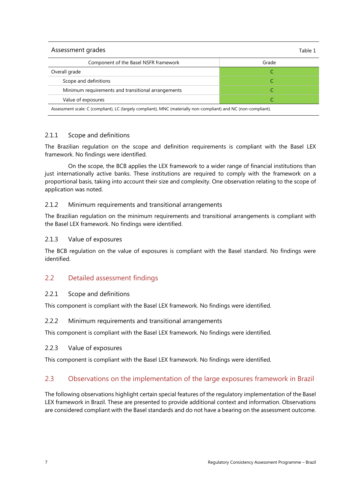| Assessment grades<br>Table 1                                                                                    |       |  |
|-----------------------------------------------------------------------------------------------------------------|-------|--|
| Component of the Basel NSFR framework                                                                           | Grade |  |
| Overall grade                                                                                                   |       |  |
| Scope and definitions                                                                                           |       |  |
| Minimum requirements and transitional arrangements                                                              |       |  |
| Value of exposures                                                                                              |       |  |
| Assessment scale: C (compliant), LC (largely compliant), MNC (materially non-compliant) and NC (non-compliant). |       |  |

#### 2.1.1 Scope and definitions

The Brazilian regulation on the scope and definition requirements is compliant with the Basel LEX framework. No findings were identified.

On the scope, the BCB applies the LEX framework to a wider range of financial institutions than just internationally active banks. These institutions are required to comply with the framework on a proportional basis, taking into account their size and complexity. One observation relating to the scope of application was noted.

#### 2.1.2 Minimum requirements and transitional arrangements

The Brazilian regulation on the minimum requirements and transitional arrangements is compliant with the Basel LEX framework. No findings were identified.

#### 2.1.3 Value of exposures

The BCB regulation on the value of exposures is compliant with the Basel standard. No findings were identified.

#### 2.2 Detailed assessment findings

#### 2.2.1 Scope and definitions

This component is compliant with the Basel LEX framework. No findings were identified.

#### 2.2.2 Minimum requirements and transitional arrangements

This component is compliant with the Basel LEX framework. No findings were identified.

#### 2.2.3 Value of exposures

This component is compliant with the Basel LEX framework. No findings were identified.

#### 2.3 Observations on the implementation of the large exposures framework in Brazil

The following observations highlight certain special features of the regulatory implementation of the Basel LEX framework in Brazil. These are presented to provide additional context and information. Observations are considered compliant with the Basel standards and do not have a bearing on the assessment outcome.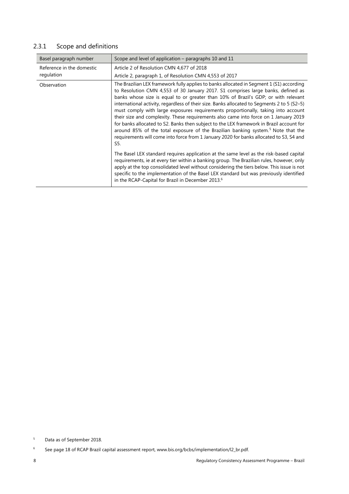### 2.3.1 Scope and definitions

| Basel paragraph number                  | Scope and level of application - paragraphs 10 and 11                                                                                                                                                                                                                                                                                                                                                                                                                                                                                                                                                                                                                                                                                                                                                                                        |
|-----------------------------------------|----------------------------------------------------------------------------------------------------------------------------------------------------------------------------------------------------------------------------------------------------------------------------------------------------------------------------------------------------------------------------------------------------------------------------------------------------------------------------------------------------------------------------------------------------------------------------------------------------------------------------------------------------------------------------------------------------------------------------------------------------------------------------------------------------------------------------------------------|
| Reference in the domestic<br>regulation | Article 2 of Resolution CMN 4,677 of 2018<br>Article 2, paragraph 1, of Resolution CMN 4,553 of 2017                                                                                                                                                                                                                                                                                                                                                                                                                                                                                                                                                                                                                                                                                                                                         |
| Observation                             | The Brazilian LEX framework fully applies to banks allocated in Segment 1 (S1) according<br>to Resolution CMN 4,553 of 30 January 2017. S1 comprises large banks, defined as<br>banks whose size is equal to or greater than 10% of Brazil's GDP; or with relevant<br>international activity, regardless of their size. Banks allocated to Segments 2 to 5 (S2-5)<br>must comply with large exposures requirements proportionally, taking into account<br>their size and complexity. These requirements also came into force on 1 January 2019<br>for banks allocated to S2. Banks then subject to the LEX framework in Brazil account for<br>around 85% of the total exposure of the Brazilian banking system. <sup>5</sup> Note that the<br>requirements will come into force from 1 January 2020 for banks allocated to S3, S4 and<br>S5. |
|                                         | The Basel LEX standard requires application at the same level as the risk-based capital<br>requirements, ie at every tier within a banking group. The Brazilian rules, however, only<br>apply at the top consolidated level without considering the tiers below. This issue is not<br>specific to the implementation of the Basel LEX standard but was previously identified<br>in the RCAP-Capital for Brazil in December 2013.6                                                                                                                                                                                                                                                                                                                                                                                                            |

<sup>5</sup> Data as of September 2018.

<sup>6</sup> See page 18 of RCAP Brazil capital assessment report, www.bis.org/bcbs/implementation/l2\_br.pdf.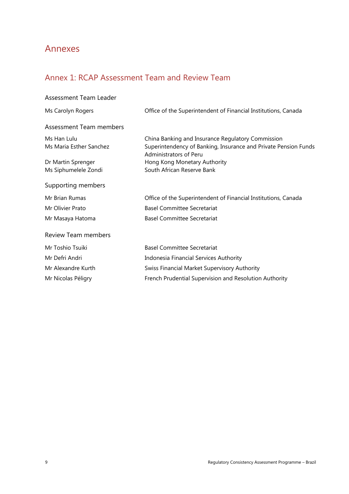# Annexes

# Annex 1: RCAP Assessment Team and Review Team

| Assessment Team Leader     |                                                                                           |
|----------------------------|-------------------------------------------------------------------------------------------|
| Ms Carolyn Rogers          | Office of the Superintendent of Financial Institutions, Canada                            |
| Assessment Team members    |                                                                                           |
| Ms Han Lulu                | China Banking and Insurance Regulatory Commission                                         |
| Ms Maria Esther Sanchez    | Superintendency of Banking, Insurance and Private Pension Funds<br>Administrators of Peru |
| Dr Martin Sprenger         | Hong Kong Monetary Authority                                                              |
| Ms Siphumelele Zondi       | South African Reserve Bank                                                                |
| Supporting members         |                                                                                           |
| Mr Brian Rumas             | Office of the Superintendent of Financial Institutions, Canada                            |
| Mr Olivier Prato           | <b>Basel Committee Secretariat</b>                                                        |
| Mr Masaya Hatoma           | <b>Basel Committee Secretariat</b>                                                        |
| <b>Review Team members</b> |                                                                                           |
| Mr Toshio Tsuiki           | <b>Basel Committee Secretariat</b>                                                        |
| Mr Defri Andri             | Indonesia Financial Services Authority                                                    |
| Mr Alexandre Kurth         | Swiss Financial Market Supervisory Authority                                              |
| Mr Nicolas Péligry         | French Prudential Supervision and Resolution Authority                                    |
|                            |                                                                                           |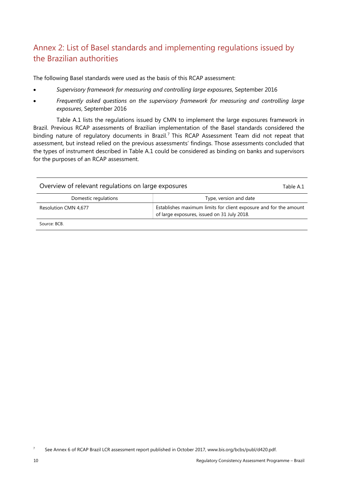# Annex 2: List of Basel standards and implementing regulations issued by the Brazilian authorities

The following Basel standards were used as the basis of this RCAP assessment:

- *Supervisory framework for measuring and controlling large exposures*, September 2016
- *Frequently asked questions on the supervisory framework for measuring and controlling large exposures*, September 2016

Table A.1 lists the regulations issued by CMN to implement the large exposures framework in Brazil. Previous RCAP assessments of Brazilian implementation of the Basel standards considered the binding nature of regulatory documents in Brazil.<sup>7</sup> This RCAP Assessment Team did not repeat that assessment, but instead relied on the previous assessments' findings. Those assessments concluded that the types of instrument described in Table A.1 could be considered as binding on banks and supervisors for the purposes of an RCAP assessment.

| Overview of relevant regulations on large exposures<br>Table A.1 |                                                                                                                  |  |
|------------------------------------------------------------------|------------------------------------------------------------------------------------------------------------------|--|
| Domestic regulations                                             | Type, version and date                                                                                           |  |
| Resolution CMN 4,677                                             | Establishes maximum limits for client exposure and for the amount<br>of large exposures, issued on 31 July 2018. |  |
| Source: BCB.                                                     |                                                                                                                  |  |

7 See Annex 6 of RCAP Brazil LCR assessment report published in October 2017, www.bis.org/bcbs/publ/d420.pdf.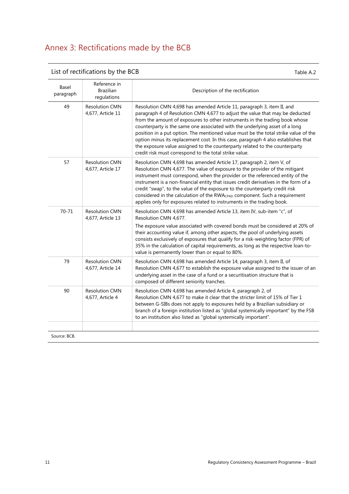# Annex 3: Rectifications made by the BCB

| Basel<br>paragraph | Reference in<br><b>Brazilian</b><br>regulations | Description of the rectification                                                                                                                                                                                                                                                                                                                                                                                                                                                                                                                                                                                                           |
|--------------------|-------------------------------------------------|--------------------------------------------------------------------------------------------------------------------------------------------------------------------------------------------------------------------------------------------------------------------------------------------------------------------------------------------------------------------------------------------------------------------------------------------------------------------------------------------------------------------------------------------------------------------------------------------------------------------------------------------|
| 49                 | <b>Resolution CMN</b><br>4,677, Article 11      | Resolution CMN 4,698 has amended Article 11, paragraph 3, item II, and<br>paragraph 4 of Resolution CMN 4,677 to adjust the value that may be deducted<br>from the amount of exposures to other instruments in the trading book whose<br>counterparty is the same one associated with the underlying asset of a long<br>position in a put option. The mentioned value must be the total strike value of the<br>option minus its replacement cost. In this case, paragraph 4 also establishes that<br>the exposure value assigned to the counterparty related to the counterparty<br>credit risk must correspond to the total strike value. |
| 57                 | <b>Resolution CMN</b><br>4,677, Article 17      | Resolution CMN 4,698 has amended Article 17, paragraph 2, item V, of<br>Resolution CMN 4,677. The value of exposure to the provider of the mitigant<br>instrument must correspond, when the provider or the referenced entity of the<br>instrument is a non-financial entity that issues credit derivatives in the form of a<br>credit "swap", to the value of the exposure to the counterparty credit risk<br>considered in the calculation of the RWACPAD component. Such a requirement<br>applies only for exposures related to instruments in the trading book.                                                                        |
| $70 - 71$          | <b>Resolution CMN</b><br>4,677, Article 13      | Resolution CMN 4,698 has amended Article 13, item IV, sub-item "c", of<br>Resolution CMN 4,677.<br>The exposure value associated with covered bonds must be considered at 20% of<br>their accounting value if, among other aspects, the pool of underlying assets<br>consists exclusively of exposures that qualify for a risk-weighting factor (FPR) of<br>35% in the calculation of capital requirements, as long as the respective loan-to-<br>value is permanently lower than or equal to 80%.                                                                                                                                         |
| 79                 | <b>Resolution CMN</b><br>4,677, Article 14      | Resolution CMN 4,698 has amended Article 14, paragraph 3, item II, of<br>Resolution CMN 4,677 to establish the exposure value assigned to the issuer of an<br>underlying asset in the case of a fund or a securitisation structure that is<br>composed of different seniority tranches.                                                                                                                                                                                                                                                                                                                                                    |
| 90                 | <b>Resolution CMN</b><br>4,677, Article 4       | Resolution CMN 4,698 has amended Article 4, paragraph 2, of<br>Resolution CMN 4,677 to make it clear that the stricter limit of 15% of Tier 1<br>between G-SIBs does not apply to exposures held by a Brazilian subsidiary or<br>branch of a foreign institution listed as "global systemically important" by the FSB<br>to an institution also listed as "global systemically important".                                                                                                                                                                                                                                                 |

List of rectifications by the BCB  $\overline{ }$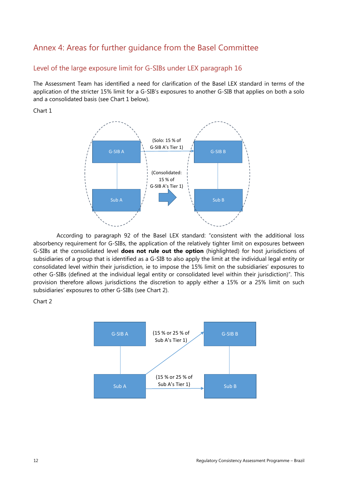# Annex 4: Areas for further guidance from the Basel Committee

#### Level of the large exposure limit for G-SIBs under LEX paragraph 16

The Assessment Team has identified a need for clarification of the Basel LEX standard in terms of the application of the stricter 15% limit for a G-SIB's exposures to another G-SIB that applies on both a solo and a consolidated basis (see Chart 1 below).

#### Chart 1



According to paragraph 92 of the Basel LEX standard: "consistent with the additional loss absorbency requirement for G-SIBs, the application of the relatively tighter limit on exposures between G-SIBs at the consolidated level **does not rule out the option** (highlighted) for host jurisdictions of subsidiaries of a group that is identified as a G-SIB to also apply the limit at the individual legal entity or consolidated level within their jurisdiction, ie to impose the 15% limit on the subsidiaries' exposures to other G-SIBs (defined at the individual legal entity or consolidated level within their jurisdiction)". This provision therefore allows jurisdictions the discretion to apply either a 15% or a 25% limit on such subsidiaries' exposures to other G-SIBs (see Chart 2).

Chart 2